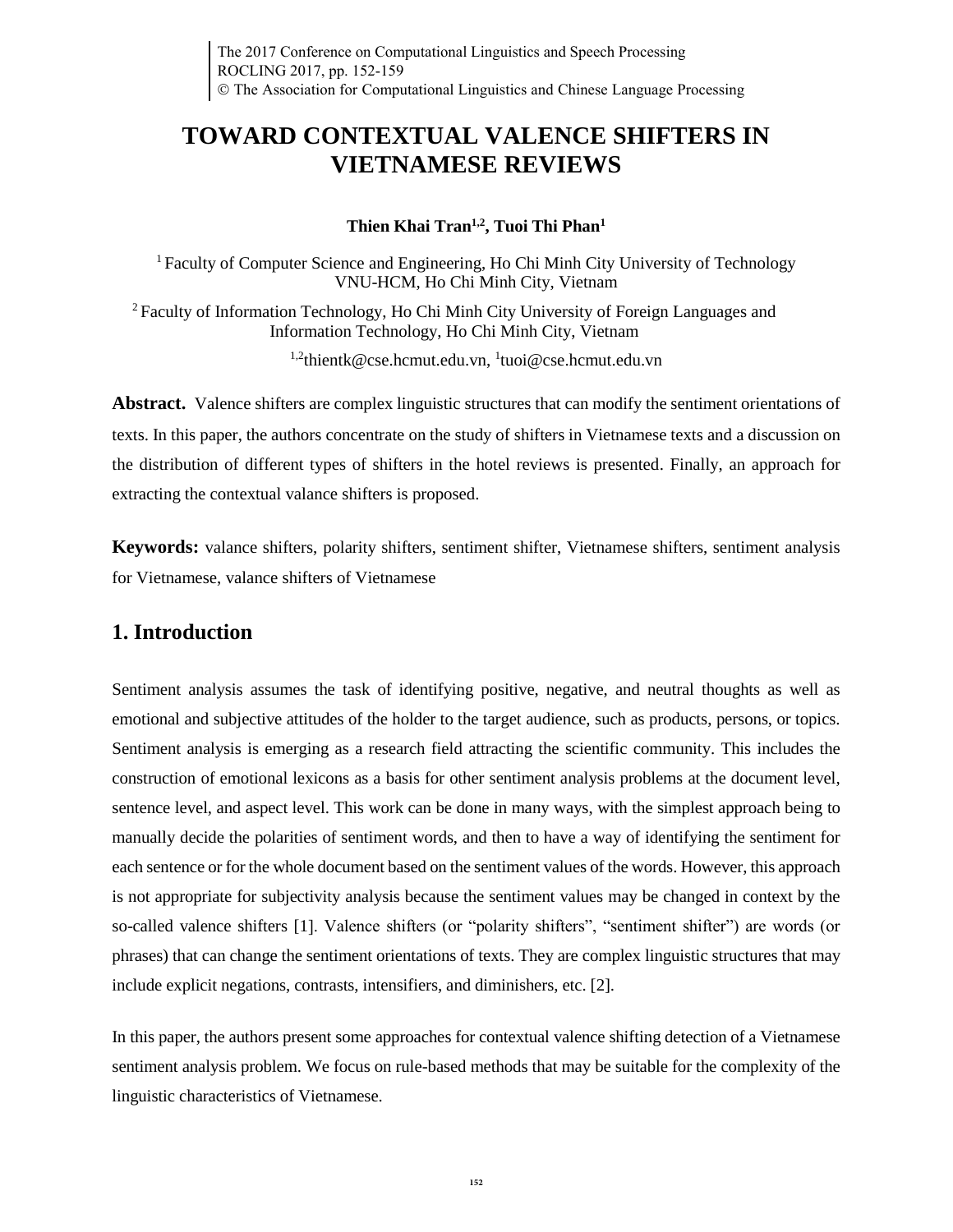# **TOWARD CONTEXTUAL VALENCE SHIFTERS IN VIETNAMESE REVIEWS**

## **Thien Khai Tran1,2, Tuoi Thi Phan<sup>1</sup>**

<sup>1</sup>Faculty of Computer Science and Engineering, Ho Chi Minh City University of Technology VNU-HCM, Ho Chi Minh City, Vietnam

<sup>2</sup>Faculty of Information Technology, Ho Chi Minh City University of Foreign Languages and Information Technology, Ho Chi Minh City, Vietnam

<sup>1,2</sup>thientk@cse.hcmut.edu.vn, <sup>1</sup>tuoi@cse.hcmut.edu.vn

**Abstract.** Valence shifters are complex linguistic structures that can modify the sentiment orientations of texts. In this paper, the authors concentrate on the study of shifters in Vietnamese texts and a discussion on the distribution of different types of shifters in the hotel reviews is presented. Finally, an approach for extracting the contextual valance shifters is proposed.

**Keywords:** valance shifters, polarity shifters, sentiment shifter, Vietnamese shifters, sentiment analysis for Vietnamese, valance shifters of Vietnamese

## **1. Introduction**

Sentiment analysis assumes the task of identifying positive, negative, and neutral thoughts as well as emotional and subjective attitudes of the holder to the target audience, such as products, persons, or topics. Sentiment analysis is emerging as a research field attracting the scientific community. This includes the construction of emotional lexicons as a basis for other sentiment analysis problems at the document level, sentence level, and aspect level. This work can be done in many ways, with the simplest approach being to manually decide the polarities of sentiment words, and then to have a way of identifying the sentiment for each sentence or for the whole document based on the sentiment values of the words. However, this approach is not appropriate for subjectivity analysis because the sentiment values may be changed in context by the so-called valence shifters [1]. Valence shifters (or "polarity shifters", "sentiment shifter") are words (or phrases) that can change the sentiment orientations of texts. They are complex linguistic structures that may include explicit negations, contrasts, intensifiers, and diminishers, etc. [2].

In this paper, the authors present some approaches for contextual valence shifting detection of a Vietnamese sentiment analysis problem. We focus on rule-based methods that may be suitable for the complexity of the linguistic characteristics of Vietnamese.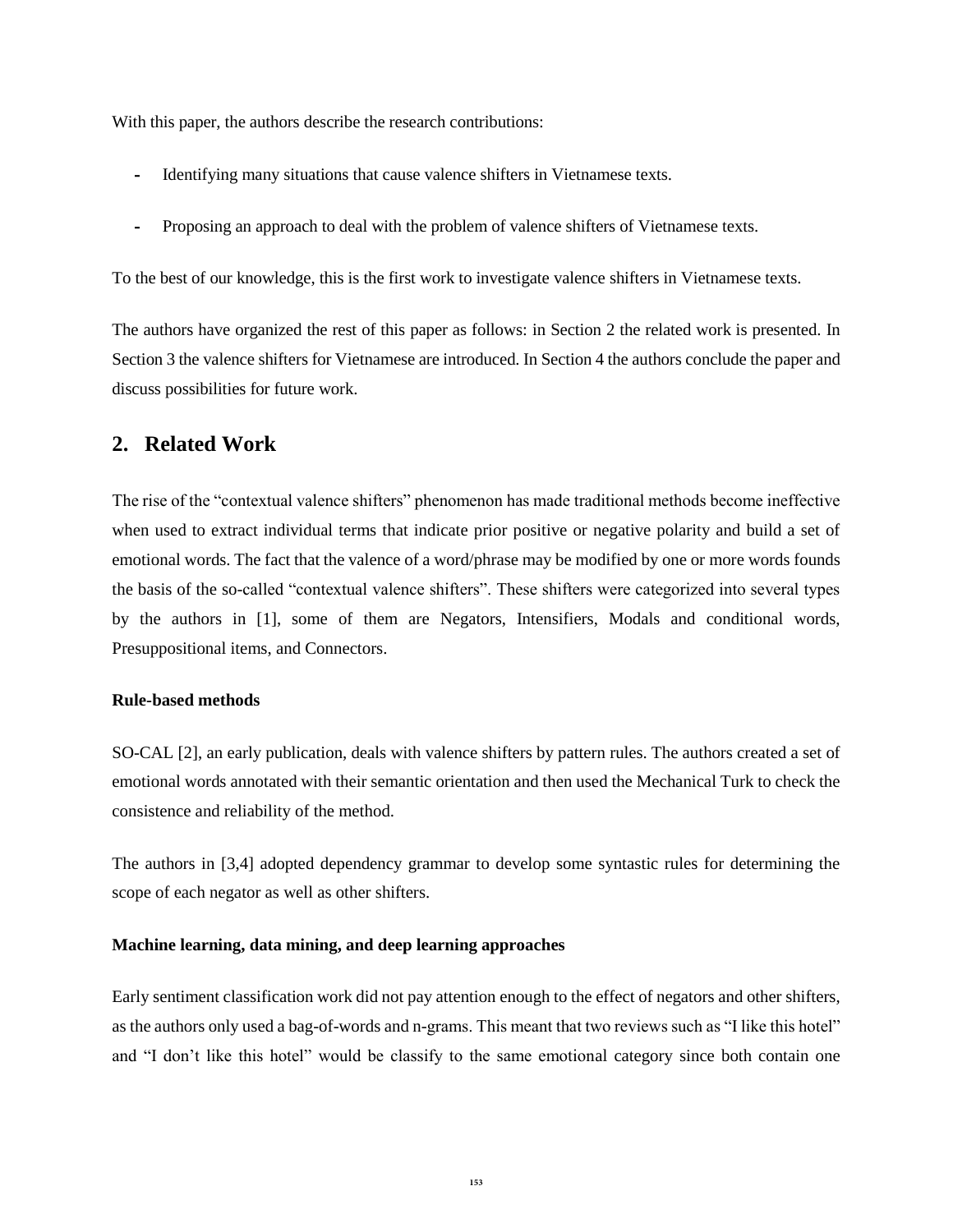With this paper, the authors describe the research contributions:

- **-** Identifying many situations that cause valence shifters in Vietnamese texts.
- **-** Proposing an approach to deal with the problem of valence shifters of Vietnamese texts.

To the best of our knowledge, this is the first work to investigate valence shifters in Vietnamese texts.

The authors have organized the rest of this paper as follows: in Section 2 the related work is presented. In Section 3 the valence shifters for Vietnamese are introduced. In Section 4 the authors conclude the paper and discuss possibilities for future work.

### **2. Related Work**

The rise of the "contextual valence shifters" phenomenon has made traditional methods become ineffective when used to extract individual terms that indicate prior positive or negative polarity and build a set of emotional words. The fact that the valence of a word/phrase may be modified by one or more words founds the basis of the so-called "contextual valence shifters". These shifters were categorized into several types by the authors in [1], some of them are Negators, Intensifiers, Modals and conditional words, Presuppositional items, and Connectors.

#### **Rule-based methods**

SO-CAL [2], an early publication, deals with valence shifters by pattern rules. The authors created a set of emotional words annotated with their semantic orientation and then used the Mechanical Turk to check the consistence and reliability of the method.

The authors in [3,4] adopted dependency grammar to develop some syntastic rules for determining the scope of each negator as well as other shifters.

### **Machine learning, data mining, and deep learning approaches**

Early sentiment classification work did not pay attention enough to the effect of negators and other shifters, as the authors only used a bag-of-words and n-grams. This meant that two reviews such as "I like this hotel" and "I don't like this hotel" would be classify to the same emotional category since both contain one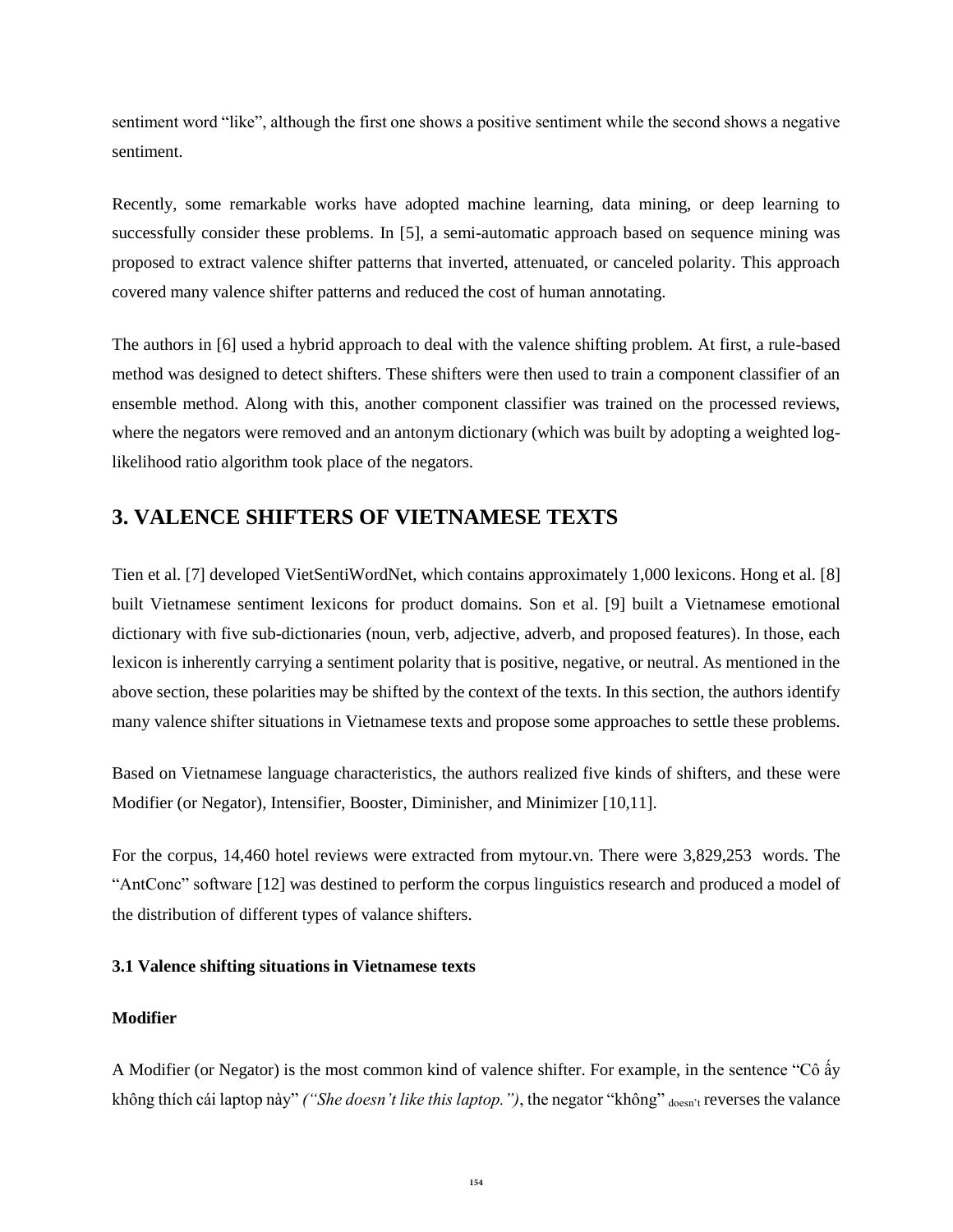sentiment word "like", although the first one shows a positive sentiment while the second shows a negative sentiment.

Recently, some remarkable works have adopted machine learning, data mining, or deep learning to successfully consider these problems. In [5], a semi-automatic approach based on sequence mining was proposed to extract valence shifter patterns that inverted, attenuated, or canceled polarity. This approach covered many valence shifter patterns and reduced the cost of human annotating.

The authors in [6] used a hybrid approach to deal with the valence shifting problem. At first, a rule-based method was designed to detect shifters. These shifters were then used to train a component classifier of an ensemble method. Along with this, another component classifier was trained on the processed reviews, where the negators were removed and an antonym dictionary (which was built by adopting a weighted loglikelihood ratio algorithm took place of the negators.

## **3. VALENCE SHIFTERS OF VIETNAMESE TEXTS**

Tien et al. [7] developed VietSentiWordNet, which contains approximately 1,000 lexicons. Hong et al. [8] built Vietnamese sentiment lexicons for product domains. Son et al. [9] built a Vietnamese emotional dictionary with five sub-dictionaries (noun, verb, adjective, adverb, and proposed features). In those, each lexicon is inherently carrying a sentiment polarity that is positive, negative, or neutral. As mentioned in the above section, these polarities may be shifted by the context of the texts. In this section, the authors identify many valence shifter situations in Vietnamese texts and propose some approaches to settle these problems.

Based on Vietnamese language characteristics, the authors realized five kinds of shifters, and these were Modifier (or Negator), Intensifier, Booster, Diminisher, and Minimizer [10,11].

For the corpus, 14,460 hotel reviews were extracted from mytour.vn. There were 3,829,253 words. The "AntConc" software [12] was destined to perform the corpus linguistics research and produced a model of the distribution of different types of valance shifters.

## **3.1 Valence shifting situations in Vietnamese texts**

### **Modifier**

A Modifier (or Negator) is the most common kind of valence shifter. For example, in the sentence "Cô ấy không thích cái laptop này" *("She doesn't like this laptop.")*, the negator "không" doesn't reverses the valance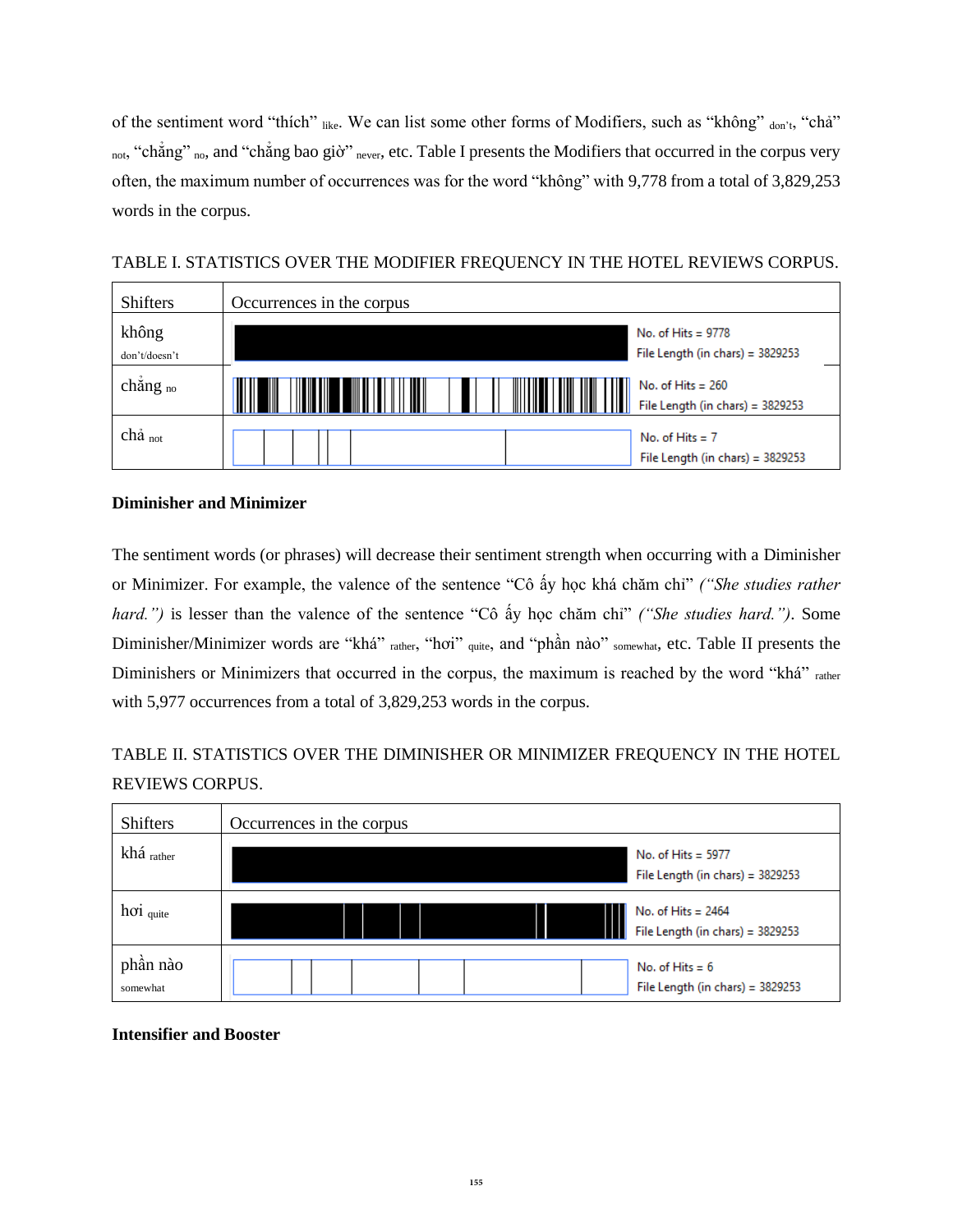of the sentiment word "thích" like. We can list some other forms of Modifiers, such as "không" don't, "chả" not, "chẳng" no, and "chẳng bao giờ" never, etc. Table I presents the Modifiers that occurred in the corpus very often, the maximum number of occurrences was for the word "không" with 9,778 from a total of 3,829,253 words in the corpus.

| <b>Shifters</b>        | Occurrences in the corpus |                                                            |
|------------------------|---------------------------|------------------------------------------------------------|
| không<br>don't/doesn't |                           | No. of Hits = $9778$<br>File Length (in chars) = $3829253$ |
| chẳng $_{no}$          | Ш<br>III<br>┉             | No. of Hits $= 260$<br>File Length (in chars) = 3829253    |
| chả <sub>not</sub>     |                           | No. of Hits $= 7$<br>File Length (in chars) = $3829253$    |

TABLE I. STATISTICS OVER THE MODIFIER FREQUENCY IN THE HOTEL REVIEWS CORPUS.

### **Diminisher and Minimizer**

The sentiment words (or phrases) will decrease their sentiment strength when occurring with a Diminisher or Minimizer. For example, the valence of the sentence "Cô ấy học khá chăm chỉ" *("She studies rather hard.")* is lesser than the valence of the sentence "Cô ấy học chăm chỉ" *("She studies hard.")*. Some Diminisher/Minimizer words are "khá" rather, "hơi" quite, and "phần nào" somewhat, etc. Table II presents the Diminishers or Minimizers that occurred in the corpus, the maximum is reached by the word "khá" rather with 5,977 occurrences from a total of 3,829,253 words in the corpus.

## TABLE II. STATISTICS OVER THE DIMINISHER OR MINIMIZER FREQUENCY IN THE HOTEL REVIEWS CORPUS.

| <b>Shifters</b>      | Occurrences in the corpus                                  |
|----------------------|------------------------------------------------------------|
| khá rather           | No. of Hits = $5977$<br>File Length (in chars) = $3829253$ |
| $ho$ i quite         | No. of Hits $= 2464$<br>File Length (in chars) = 3829253   |
| phần nào<br>somewhat | No. of Hits $= 6$<br>File Length (in chars) = 3829253      |

**Intensifier and Booster**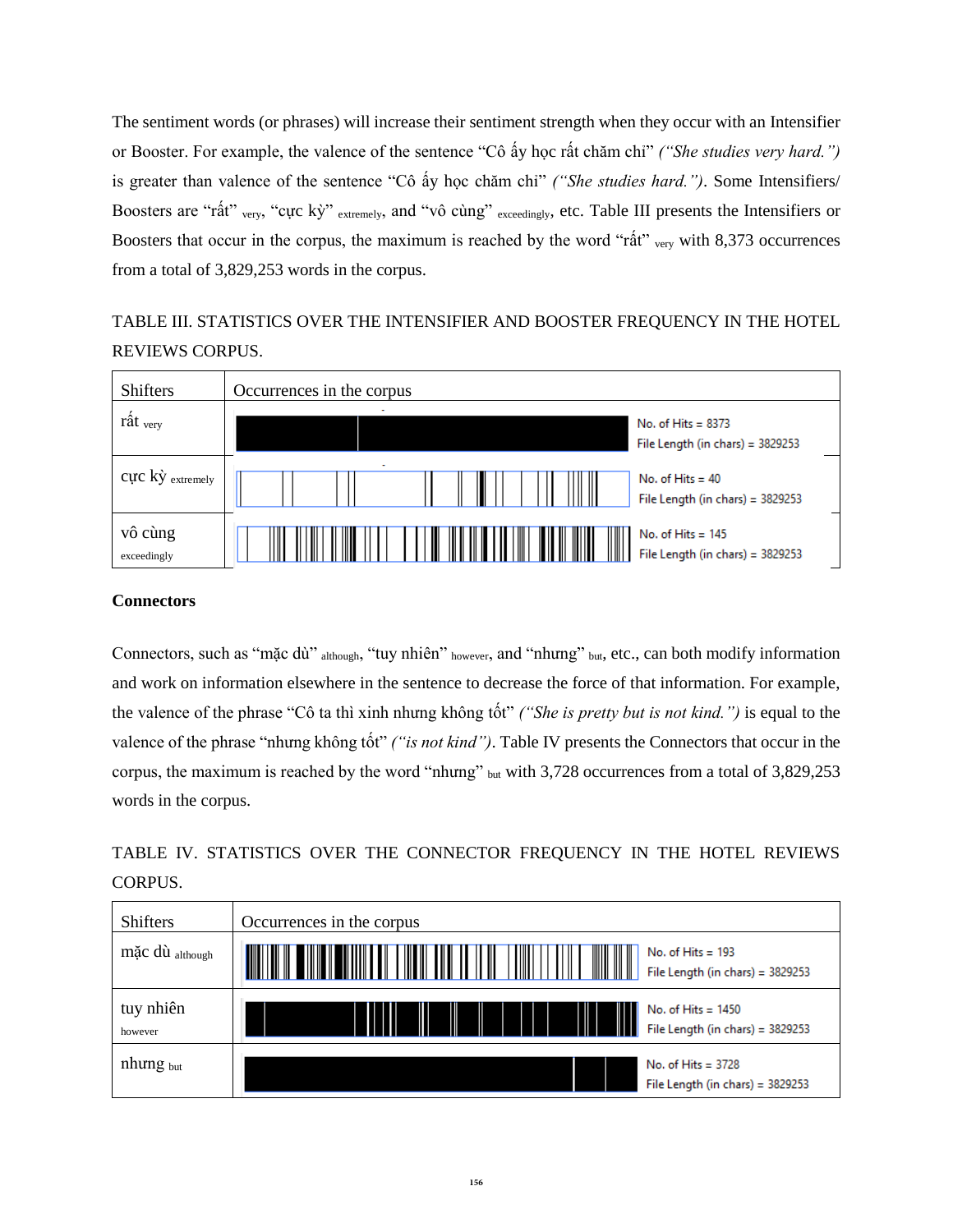The sentiment words (or phrases) will increase their sentiment strength when they occur with an Intensifier or Booster. For example, the valence of the sentence "Cô ấy học rất chăm chỉ" *("She studies very hard.")* is greater than valence of the sentence "Cô ấy học chăm chỉ" *("She studies hard.")*. Some Intensifiers/ Boosters are "rất" very, "cực kỳ" extremely, and "vô cùng" exceedingly, etc. Table III presents the Intensifiers or Boosters that occur in the corpus, the maximum is reached by the word "rất" very with 8,373 occurrences from a total of 3,829,253 words in the corpus.

## TABLE III. STATISTICS OVER THE INTENSIFIER AND BOOSTER FREQUENCY IN THE HOTEL REVIEWS CORPUS.



### **Connectors**

Connectors, such as "mặc dù" although, "tuy nhiên" however, and "nhưng" but, etc., can both modify information and work on information elsewhere in the sentence to decrease the force of that information. For example, the valence of the phrase "Cô ta thì xinh nhưng không tốt" *("She is pretty but is not kind.")* is equal to the valence of the phrase "nhưng không tốt" *("is not kind")*. Table IV presents the Connectors that occur in the corpus, the maximum is reached by the word "nhưng" but with 3,728 occurrences from a total of 3,829,253 words in the corpus.

## TABLE IV. STATISTICS OVER THE CONNECTOR FREQUENCY IN THE HOTEL REVIEWS CORPUS.

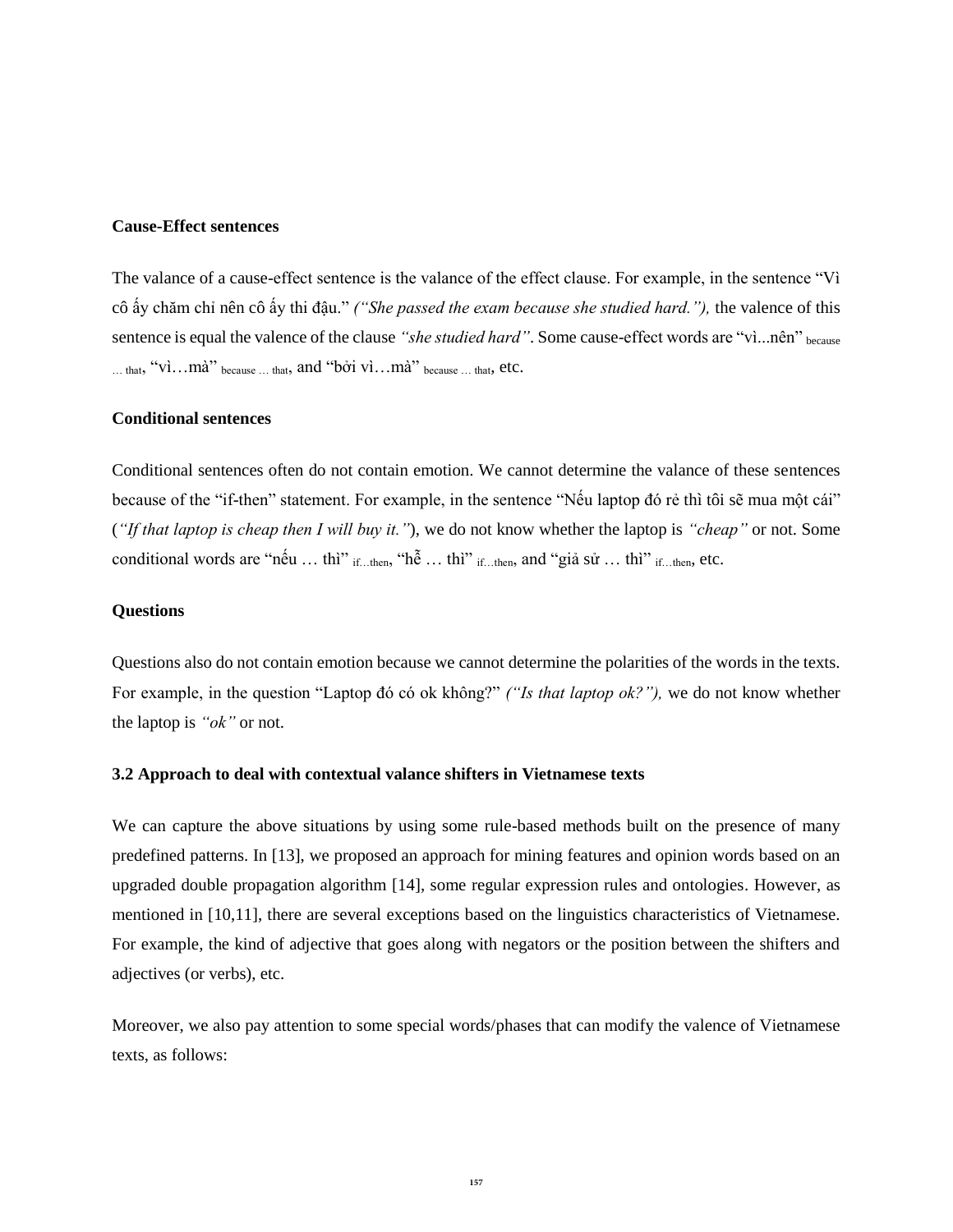#### **Cause-Effect sentences**

The valance of a cause-effect sentence is the valance of the effect clause. For example, in the sentence "Vì cô ấy chăm chỉ nên cô ấy thi đậu." *("She passed the exam because she studied hard."),* the valence of this sentence is equal the valence of the clause "she studied hard". Some cause-effect words are "vì...nên" because … that, "vì…mà" because … that, and "bởi vì…mà" because … that, etc.

#### **Conditional sentences**

Conditional sentences often do not contain emotion. We cannot determine the valance of these sentences because of the "if-then" statement. For example, in the sentence "Nếu laptop đó rẻ thì tôi sẽ mua một cái" (*"If that laptop is cheap then I will buy it."*), we do not know whether the laptop is *"cheap"* or not. Some conditional words are "nếu ... thì" if ...then, "hễ ... thì" if ...then, and "giả sử ... thì" if ...then, etc.

#### **Questions**

Questions also do not contain emotion because we cannot determine the polarities of the words in the texts. For example, in the question "Laptop đó có ok không?" *("Is that laptop ok?"),* we do not know whether the laptop is *"ok"* or not.

### **3.2 Approach to deal with contextual valance shifters in Vietnamese texts**

We can capture the above situations by using some rule-based methods built on the presence of many predefined patterns. In [13], we proposed an approach for mining features and opinion words based on an upgraded double propagation algorithm [14], some regular expression rules and ontologies. However, as mentioned in [10,11], there are several exceptions based on the linguistics characteristics of Vietnamese. For example, the kind of adjective that goes along with negators or the position between the shifters and adjectives (or verbs), etc.

Moreover, we also pay attention to some special words/phases that can modify the valence of Vietnamese texts, as follows: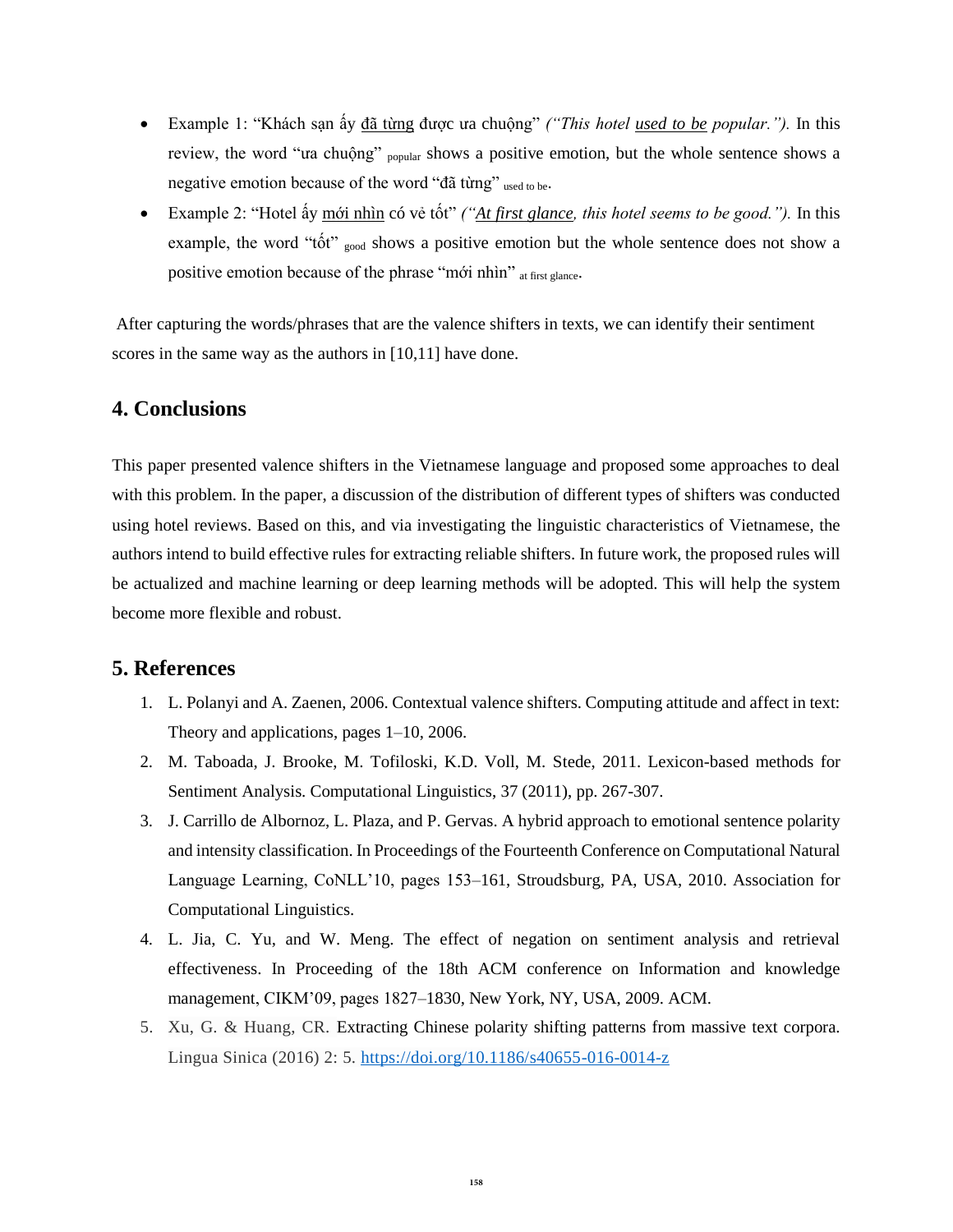- Example 1: "Khách sạn ấy đã từng được ưa chuộng" *("This hotel used to be popular.").* In this review, the word "ua chuộng" <sub>popular</sub> shows a positive emotion, but the whole sentence shows a negative emotion because of the word "đã từng" used to be.
- Example 2: "Hotel ấy mới nhìn có vẻ tốt" *("At first glance, this hotel seems to be good.")*. In this example, the word "tốt" good shows a positive emotion but the whole sentence does not show a positive emotion because of the phrase "mới nhìn" at first glance.

After capturing the words/phrases that are the valence shifters in texts, we can identify their sentiment scores in the same way as the authors in [10,11] have done.

## **4. Conclusions**

This paper presented valence shifters in the Vietnamese language and proposed some approaches to deal with this problem. In the paper, a discussion of the distribution of different types of shifters was conducted using hotel reviews. Based on this, and via investigating the linguistic characteristics of Vietnamese, the authors intend to build effective rules for extracting reliable shifters. In future work, the proposed rules will be actualized and machine learning or deep learning methods will be adopted. This will help the system become more flexible and robust.

## **5. References**

- 1. L. Polanyi and A. Zaenen, 2006. Contextual valence shifters. Computing attitude and affect in text: Theory and applications, pages 1–10, 2006.
- 2. M. Taboada, J. Brooke, M. Tofiloski, K.D. Voll, M. Stede, 2011. Lexicon-based methods for Sentiment Analysis. Computational Linguistics, 37 (2011), pp. 267-307.
- 3. J. Carrillo de Albornoz, L. Plaza, and P. Gervas. A hybrid approach to emotional sentence polarity and intensity classification. In Proceedings of the Fourteenth Conference on Computational Natural Language Learning, CoNLL'10, pages 153–161, Stroudsburg, PA, USA, 2010. Association for Computational Linguistics.
- 4. L. Jia, C. Yu, and W. Meng. The effect of negation on sentiment analysis and retrieval effectiveness. In Proceeding of the 18th ACM conference on Information and knowledge management, CIKM'09, pages 1827–1830, New York, NY, USA, 2009. ACM.
- 5. Xu, G. & Huang, CR. Extracting Chinese polarity shifting patterns from massive text corpora. Lingua Sinica (2016) 2: 5.<https://doi.org/10.1186/s40655-016-0014-z>